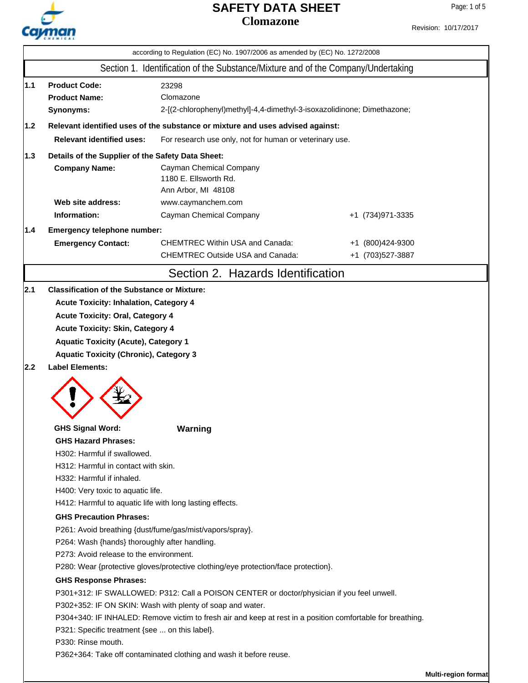# Cayman

### **Clomazone SAFETY DATA SHEET**

Page: 1 of 5

| according to Regulation (EC) No. 1907/2006 as amended by (EC) No. 1272/2008                                |                                                                                                                                                      |                                                                                            |                   |  |  |  |  |
|------------------------------------------------------------------------------------------------------------|------------------------------------------------------------------------------------------------------------------------------------------------------|--------------------------------------------------------------------------------------------|-------------------|--|--|--|--|
|                                                                                                            | Section 1. Identification of the Substance/Mixture and of the Company/Undertaking                                                                    |                                                                                            |                   |  |  |  |  |
| 1.1                                                                                                        | <b>Product Code:</b><br>23298                                                                                                                        |                                                                                            |                   |  |  |  |  |
|                                                                                                            | <b>Product Name:</b>                                                                                                                                 |                                                                                            |                   |  |  |  |  |
|                                                                                                            | 2-[(2-chlorophenyl)methyl]-4,4-dimethyl-3-isoxazolidinone; Dimethazone;                                                                              |                                                                                            |                   |  |  |  |  |
| 1.2                                                                                                        | Synonyms:<br>Relevant identified uses of the substance or mixture and uses advised against:                                                          |                                                                                            |                   |  |  |  |  |
|                                                                                                            | <b>Relevant identified uses:</b><br>For research use only, not for human or veterinary use.                                                          |                                                                                            |                   |  |  |  |  |
| 1.3 <br>Details of the Supplier of the Safety Data Sheet:                                                  |                                                                                                                                                      |                                                                                            |                   |  |  |  |  |
|                                                                                                            | <b>Company Name:</b><br>Cayman Chemical Company                                                                                                      |                                                                                            |                   |  |  |  |  |
|                                                                                                            |                                                                                                                                                      | 1180 E. Ellsworth Rd.                                                                      |                   |  |  |  |  |
|                                                                                                            |                                                                                                                                                      | Ann Arbor, MI 48108                                                                        |                   |  |  |  |  |
|                                                                                                            | Web site address:                                                                                                                                    | www.caymanchem.com                                                                         |                   |  |  |  |  |
|                                                                                                            | Information:                                                                                                                                         | Cayman Chemical Company                                                                    | +1 (734) 971-3335 |  |  |  |  |
| 1.4                                                                                                        | Emergency telephone number:                                                                                                                          |                                                                                            |                   |  |  |  |  |
|                                                                                                            | <b>Emergency Contact:</b>                                                                                                                            | <b>CHEMTREC Within USA and Canada:</b>                                                     | +1 (800)424-9300  |  |  |  |  |
|                                                                                                            |                                                                                                                                                      | <b>CHEMTREC Outside USA and Canada:</b>                                                    | +1 (703)527-3887  |  |  |  |  |
|                                                                                                            |                                                                                                                                                      |                                                                                            |                   |  |  |  |  |
|                                                                                                            |                                                                                                                                                      | Section 2. Hazards Identification                                                          |                   |  |  |  |  |
| 2.1                                                                                                        | <b>Classification of the Substance or Mixture:</b>                                                                                                   |                                                                                            |                   |  |  |  |  |
|                                                                                                            | <b>Acute Toxicity: Inhalation, Category 4</b>                                                                                                        |                                                                                            |                   |  |  |  |  |
|                                                                                                            | <b>Acute Toxicity: Oral, Category 4</b>                                                                                                              |                                                                                            |                   |  |  |  |  |
|                                                                                                            | <b>Acute Toxicity: Skin, Category 4</b>                                                                                                              |                                                                                            |                   |  |  |  |  |
|                                                                                                            |                                                                                                                                                      |                                                                                            |                   |  |  |  |  |
| <b>Aquatic Toxicity (Acute), Category 1</b>                                                                |                                                                                                                                                      |                                                                                            |                   |  |  |  |  |
| 2.2                                                                                                        | <b>Aquatic Toxicity (Chronic), Category 3</b><br><b>Label Elements:</b>                                                                              |                                                                                            |                   |  |  |  |  |
|                                                                                                            |                                                                                                                                                      |                                                                                            |                   |  |  |  |  |
|                                                                                                            |                                                                                                                                                      |                                                                                            |                   |  |  |  |  |
|                                                                                                            |                                                                                                                                                      |                                                                                            |                   |  |  |  |  |
|                                                                                                            |                                                                                                                                                      |                                                                                            |                   |  |  |  |  |
|                                                                                                            | <b>GHS Signal Word:</b>                                                                                                                              | Warning                                                                                    |                   |  |  |  |  |
|                                                                                                            | <b>GHS Hazard Phrases:</b>                                                                                                                           |                                                                                            |                   |  |  |  |  |
|                                                                                                            | H302: Harmful if swallowed.                                                                                                                          |                                                                                            |                   |  |  |  |  |
|                                                                                                            | H312: Harmful in contact with skin.                                                                                                                  |                                                                                            |                   |  |  |  |  |
|                                                                                                            | H332: Harmful if inhaled.                                                                                                                            |                                                                                            |                   |  |  |  |  |
|                                                                                                            | H400: Very toxic to aquatic life.<br>H412: Harmful to aquatic life with long lasting effects.                                                        |                                                                                            |                   |  |  |  |  |
|                                                                                                            |                                                                                                                                                      |                                                                                            |                   |  |  |  |  |
|                                                                                                            | <b>GHS Precaution Phrases:</b>                                                                                                                       |                                                                                            |                   |  |  |  |  |
|                                                                                                            |                                                                                                                                                      |                                                                                            |                   |  |  |  |  |
|                                                                                                            | P261: Avoid breathing {dust/fume/gas/mist/vapors/spray}.<br>P264: Wash {hands} thoroughly after handling.<br>P273: Avoid release to the environment. |                                                                                            |                   |  |  |  |  |
|                                                                                                            |                                                                                                                                                      |                                                                                            |                   |  |  |  |  |
|                                                                                                            |                                                                                                                                                      | P280: Wear {protective gloves/protective clothing/eye protection/face protection}.         |                   |  |  |  |  |
|                                                                                                            | <b>GHS Response Phrases:</b>                                                                                                                         |                                                                                            |                   |  |  |  |  |
|                                                                                                            |                                                                                                                                                      |                                                                                            |                   |  |  |  |  |
|                                                                                                            |                                                                                                                                                      | P301+312: IF SWALLOWED: P312: Call a POISON CENTER or doctor/physician if you feel unwell. |                   |  |  |  |  |
|                                                                                                            |                                                                                                                                                      | P302+352: IF ON SKIN: Wash with plenty of soap and water.                                  |                   |  |  |  |  |
| P304+340: IF INHALED: Remove victim to fresh air and keep at rest in a position comfortable for breathing. |                                                                                                                                                      |                                                                                            |                   |  |  |  |  |
|                                                                                                            | P321: Specific treatment {see  on this label}.                                                                                                       |                                                                                            |                   |  |  |  |  |
|                                                                                                            | P330: Rinse mouth.                                                                                                                                   |                                                                                            |                   |  |  |  |  |
|                                                                                                            |                                                                                                                                                      | P362+364: Take off contaminated clothing and wash it before reuse.                         |                   |  |  |  |  |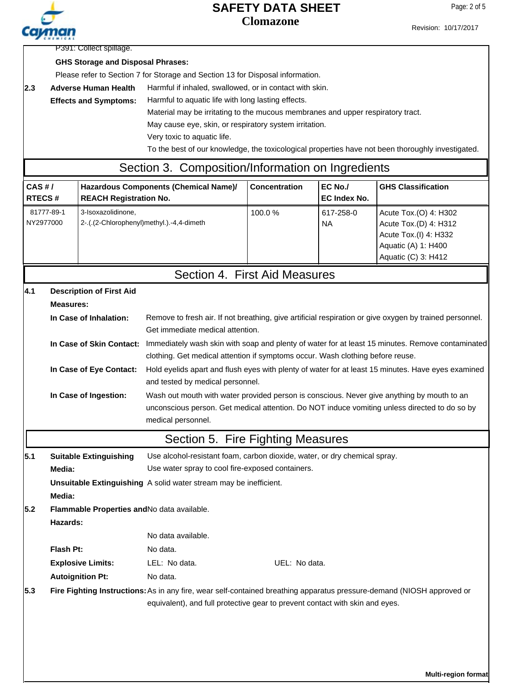# Cayman

## **Clomazone SAFETY DATA SHEET**

Page: 2 of 5

|               |                                                                                                                                                                                            | P391: Collect spillage.                             |                                                                                                                                       |                                                                                                                                                                                             |                                                                                                         |                                                                                                  |  |  |
|---------------|--------------------------------------------------------------------------------------------------------------------------------------------------------------------------------------------|-----------------------------------------------------|---------------------------------------------------------------------------------------------------------------------------------------|---------------------------------------------------------------------------------------------------------------------------------------------------------------------------------------------|---------------------------------------------------------------------------------------------------------|--------------------------------------------------------------------------------------------------|--|--|
|               |                                                                                                                                                                                            | <b>GHS Storage and Disposal Phrases:</b>            |                                                                                                                                       |                                                                                                                                                                                             |                                                                                                         |                                                                                                  |  |  |
|               |                                                                                                                                                                                            |                                                     | Please refer to Section 7 for Storage and Section 13 for Disposal information.                                                        |                                                                                                                                                                                             |                                                                                                         |                                                                                                  |  |  |
| 2.3           |                                                                                                                                                                                            | <b>Adverse Human Health</b>                         | Harmful if inhaled, swallowed, or in contact with skin.                                                                               |                                                                                                                                                                                             |                                                                                                         |                                                                                                  |  |  |
|               |                                                                                                                                                                                            | <b>Effects and Symptoms:</b>                        | Harmful to aquatic life with long lasting effects.<br>Material may be irritating to the mucous membranes and upper respiratory tract. |                                                                                                                                                                                             |                                                                                                         |                                                                                                  |  |  |
|               |                                                                                                                                                                                            |                                                     |                                                                                                                                       |                                                                                                                                                                                             |                                                                                                         |                                                                                                  |  |  |
|               |                                                                                                                                                                                            |                                                     | May cause eye, skin, or respiratory system irritation.<br>Very toxic to aquatic life.                                                 |                                                                                                                                                                                             |                                                                                                         |                                                                                                  |  |  |
|               |                                                                                                                                                                                            |                                                     | To the best of our knowledge, the toxicological properties have not been thoroughly investigated.                                     |                                                                                                                                                                                             |                                                                                                         |                                                                                                  |  |  |
|               |                                                                                                                                                                                            |                                                     | Section 3. Composition/Information on Ingredients                                                                                     |                                                                                                                                                                                             |                                                                                                         |                                                                                                  |  |  |
| $CAS$ #/      |                                                                                                                                                                                            |                                                     | Hazardous Components (Chemical Name)/                                                                                                 | Concentration                                                                                                                                                                               | EC No./                                                                                                 | <b>GHS Classification</b>                                                                        |  |  |
| <b>RTECS#</b> |                                                                                                                                                                                            | <b>REACH Registration No.</b>                       |                                                                                                                                       |                                                                                                                                                                                             | <b>EC Index No.</b>                                                                                     |                                                                                                  |  |  |
| NY2977000     | 81777-89-1                                                                                                                                                                                 | 3-Isoxazolidinone,                                  | 2-.(.(2-Chlorophenyl)methyl.).-4,4-dimeth                                                                                             | 100.0%                                                                                                                                                                                      | 617-258-0<br><b>NA</b>                                                                                  | Acute Tox.(O) 4: H302<br>Acute Tox.(D) 4: H312                                                   |  |  |
|               |                                                                                                                                                                                            |                                                     |                                                                                                                                       |                                                                                                                                                                                             |                                                                                                         | Acute Tox.(I) 4: H332                                                                            |  |  |
|               |                                                                                                                                                                                            |                                                     |                                                                                                                                       |                                                                                                                                                                                             |                                                                                                         | Aquatic (A) 1: H400                                                                              |  |  |
|               |                                                                                                                                                                                            |                                                     |                                                                                                                                       |                                                                                                                                                                                             |                                                                                                         | Aquatic (C) 3: H412                                                                              |  |  |
|               |                                                                                                                                                                                            |                                                     | Section 4. First Aid Measures                                                                                                         |                                                                                                                                                                                             |                                                                                                         |                                                                                                  |  |  |
| 4.1           |                                                                                                                                                                                            | <b>Description of First Aid</b>                     |                                                                                                                                       |                                                                                                                                                                                             |                                                                                                         |                                                                                                  |  |  |
|               | <b>Measures:</b>                                                                                                                                                                           |                                                     |                                                                                                                                       |                                                                                                                                                                                             |                                                                                                         |                                                                                                  |  |  |
|               |                                                                                                                                                                                            | In Case of Inhalation:                              |                                                                                                                                       |                                                                                                                                                                                             | Remove to fresh air. If not breathing, give artificial respiration or give oxygen by trained personnel. |                                                                                                  |  |  |
|               | Get immediate medical attention.                                                                                                                                                           |                                                     |                                                                                                                                       |                                                                                                                                                                                             |                                                                                                         |                                                                                                  |  |  |
|               | In Case of Skin Contact:                                                                                                                                                                   |                                                     |                                                                                                                                       |                                                                                                                                                                                             |                                                                                                         | Immediately wash skin with soap and plenty of water for at least 15 minutes. Remove contaminated |  |  |
|               | clothing. Get medical attention if symptoms occur. Wash clothing before reuse.                                                                                                             |                                                     |                                                                                                                                       |                                                                                                                                                                                             |                                                                                                         |                                                                                                  |  |  |
|               | Hold eyelids apart and flush eyes with plenty of water for at least 15 minutes. Have eyes examined<br>In Case of Eye Contact:<br>and tested by medical personnel.<br>In Case of Ingestion: |                                                     |                                                                                                                                       |                                                                                                                                                                                             |                                                                                                         |                                                                                                  |  |  |
|               |                                                                                                                                                                                            |                                                     |                                                                                                                                       | Wash out mouth with water provided person is conscious. Never give anything by mouth to an<br>unconscious person. Get medical attention. Do NOT induce vomiting unless directed to do so by |                                                                                                         |                                                                                                  |  |  |
|               |                                                                                                                                                                                            |                                                     |                                                                                                                                       |                                                                                                                                                                                             |                                                                                                         |                                                                                                  |  |  |
|               |                                                                                                                                                                                            |                                                     | medical personnel.                                                                                                                    |                                                                                                                                                                                             |                                                                                                         |                                                                                                  |  |  |
|               |                                                                                                                                                                                            |                                                     | Section 5. Fire Fighting Measures                                                                                                     |                                                                                                                                                                                             |                                                                                                         |                                                                                                  |  |  |
| 5.1           |                                                                                                                                                                                            | <b>Suitable Extinguishing</b>                       | Use alcohol-resistant foam, carbon dioxide, water, or dry chemical spray.                                                             |                                                                                                                                                                                             |                                                                                                         |                                                                                                  |  |  |
|               | Media:                                                                                                                                                                                     |                                                     | Use water spray to cool fire-exposed containers.                                                                                      |                                                                                                                                                                                             |                                                                                                         |                                                                                                  |  |  |
|               | Unsuitable Extinguishing A solid water stream may be inefficient.                                                                                                                          |                                                     |                                                                                                                                       |                                                                                                                                                                                             |                                                                                                         |                                                                                                  |  |  |
|               | Media:                                                                                                                                                                                     |                                                     |                                                                                                                                       |                                                                                                                                                                                             |                                                                                                         |                                                                                                  |  |  |
| 5.2           | Flammable Properties and No data available.                                                                                                                                                |                                                     |                                                                                                                                       |                                                                                                                                                                                             |                                                                                                         |                                                                                                  |  |  |
|               | Hazards:                                                                                                                                                                                   |                                                     |                                                                                                                                       |                                                                                                                                                                                             |                                                                                                         |                                                                                                  |  |  |
|               |                                                                                                                                                                                            |                                                     | No data available.<br>No data.                                                                                                        |                                                                                                                                                                                             |                                                                                                         |                                                                                                  |  |  |
|               | Flash Pt:                                                                                                                                                                                  |                                                     | LEL: No data.                                                                                                                         | UEL: No data.                                                                                                                                                                               |                                                                                                         |                                                                                                  |  |  |
|               |                                                                                                                                                                                            | <b>Explosive Limits:</b><br><b>Autoignition Pt:</b> | No data.                                                                                                                              |                                                                                                                                                                                             |                                                                                                         |                                                                                                  |  |  |
|               |                                                                                                                                                                                            |                                                     |                                                                                                                                       |                                                                                                                                                                                             |                                                                                                         |                                                                                                  |  |  |
| 5.3           | Fire Fighting Instructions: As in any fire, wear self-contained breathing apparatus pressure-demand (NIOSH approved or                                                                     |                                                     |                                                                                                                                       |                                                                                                                                                                                             |                                                                                                         |                                                                                                  |  |  |
|               | equivalent), and full protective gear to prevent contact with skin and eyes.                                                                                                               |                                                     |                                                                                                                                       |                                                                                                                                                                                             |                                                                                                         |                                                                                                  |  |  |
|               |                                                                                                                                                                                            |                                                     |                                                                                                                                       |                                                                                                                                                                                             |                                                                                                         |                                                                                                  |  |  |
|               |                                                                                                                                                                                            |                                                     |                                                                                                                                       |                                                                                                                                                                                             |                                                                                                         |                                                                                                  |  |  |
|               |                                                                                                                                                                                            |                                                     |                                                                                                                                       |                                                                                                                                                                                             |                                                                                                         |                                                                                                  |  |  |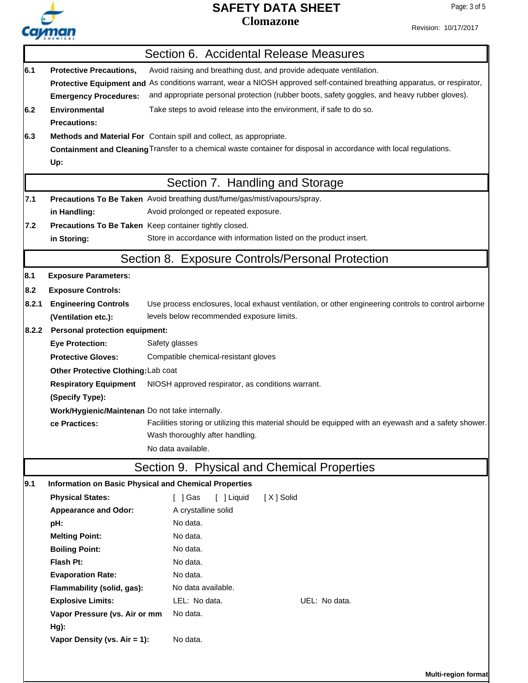# **Clomazone SAFETY DATA SHEET**

Cayman

Page: 3 of 5

|       |                                                                                                                          | Section 6. Accidental Release Measures                                                                                                   |  |  |  |  |
|-------|--------------------------------------------------------------------------------------------------------------------------|------------------------------------------------------------------------------------------------------------------------------------------|--|--|--|--|
| 6.1   | <b>Protective Precautions,</b><br>Avoid raising and breathing dust, and provide adequate ventilation.                    |                                                                                                                                          |  |  |  |  |
|       | Protective Equipment and As conditions warrant, wear a NIOSH approved self-contained breathing apparatus, or respirator, |                                                                                                                                          |  |  |  |  |
|       | <b>Emergency Procedures:</b>                                                                                             | and appropriate personal protection (rubber boots, safety goggles, and heavy rubber gloves).                                             |  |  |  |  |
| 6.2   | <b>Environmental</b>                                                                                                     | Take steps to avoid release into the environment, if safe to do so.                                                                      |  |  |  |  |
|       | <b>Precautions:</b>                                                                                                      |                                                                                                                                          |  |  |  |  |
| 6.3   |                                                                                                                          | Methods and Material For Contain spill and collect, as appropriate.                                                                      |  |  |  |  |
|       |                                                                                                                          | Containment and Cleaning Transfer to a chemical waste container for disposal in accordance with local regulations.                       |  |  |  |  |
|       | Up:                                                                                                                      |                                                                                                                                          |  |  |  |  |
|       |                                                                                                                          | Section 7. Handling and Storage                                                                                                          |  |  |  |  |
| 7.1   |                                                                                                                          | Precautions To Be Taken Avoid breathing dust/fume/gas/mist/vapours/spray.                                                                |  |  |  |  |
|       | Avoid prolonged or repeated exposure.<br>in Handling:                                                                    |                                                                                                                                          |  |  |  |  |
| 7.2   | Precautions To Be Taken Keep container tightly closed.                                                                   |                                                                                                                                          |  |  |  |  |
|       | in Storing:                                                                                                              | Store in accordance with information listed on the product insert.                                                                       |  |  |  |  |
|       |                                                                                                                          | Section 8. Exposure Controls/Personal Protection                                                                                         |  |  |  |  |
| 8.1   | <b>Exposure Parameters:</b>                                                                                              |                                                                                                                                          |  |  |  |  |
| 8.2   | <b>Exposure Controls:</b>                                                                                                |                                                                                                                                          |  |  |  |  |
| 8.2.1 | <b>Engineering Controls</b>                                                                                              | Use process enclosures, local exhaust ventilation, or other engineering controls to control airborne                                     |  |  |  |  |
|       | levels below recommended exposure limits.<br>(Ventilation etc.):                                                         |                                                                                                                                          |  |  |  |  |
| 8.2.2 | <b>Personal protection equipment:</b>                                                                                    |                                                                                                                                          |  |  |  |  |
|       | <b>Eye Protection:</b>                                                                                                   | Safety glasses                                                                                                                           |  |  |  |  |
|       | <b>Protective Gloves:</b>                                                                                                | Compatible chemical-resistant gloves                                                                                                     |  |  |  |  |
|       | Other Protective Clothing: Lab coat                                                                                      |                                                                                                                                          |  |  |  |  |
|       | <b>Respiratory Equipment</b>                                                                                             | NIOSH approved respirator, as conditions warrant.                                                                                        |  |  |  |  |
|       | (Specify Type):                                                                                                          |                                                                                                                                          |  |  |  |  |
|       | Work/Hygienic/Maintenan Do not take internally.                                                                          |                                                                                                                                          |  |  |  |  |
|       | ce Practices:                                                                                                            | Facilities storing or utilizing this material should be equipped with an eyewash and a safety shower.<br>Wash thoroughly after handling. |  |  |  |  |
|       |                                                                                                                          |                                                                                                                                          |  |  |  |  |
|       | No data available.                                                                                                       |                                                                                                                                          |  |  |  |  |
|       |                                                                                                                          | Section 9. Physical and Chemical Properties                                                                                              |  |  |  |  |
| 9.1   |                                                                                                                          | <b>Information on Basic Physical and Chemical Properties</b>                                                                             |  |  |  |  |
|       | <b>Physical States:</b>                                                                                                  | $\lceil$ $\rfloor$ Gas<br>[ ] Liquid<br>[X] Solid                                                                                        |  |  |  |  |
|       | <b>Appearance and Odor:</b>                                                                                              | A crystalline solid                                                                                                                      |  |  |  |  |
|       | pH:                                                                                                                      | No data.                                                                                                                                 |  |  |  |  |
|       | <b>Melting Point:</b>                                                                                                    | No data.                                                                                                                                 |  |  |  |  |
|       | <b>Boiling Point:</b>                                                                                                    | No data.                                                                                                                                 |  |  |  |  |
|       | Flash Pt:                                                                                                                | No data.                                                                                                                                 |  |  |  |  |
|       | <b>Evaporation Rate:</b>                                                                                                 | No data.                                                                                                                                 |  |  |  |  |
|       | Flammability (solid, gas):                                                                                               | No data available.                                                                                                                       |  |  |  |  |
|       | <b>Explosive Limits:</b>                                                                                                 | LEL: No data.<br>UEL: No data.                                                                                                           |  |  |  |  |
|       | Vapor Pressure (vs. Air or mm                                                                                            | No data.                                                                                                                                 |  |  |  |  |
|       | Hg):                                                                                                                     |                                                                                                                                          |  |  |  |  |
|       | Vapor Density (vs. Air = 1):                                                                                             | No data.                                                                                                                                 |  |  |  |  |
|       |                                                                                                                          |                                                                                                                                          |  |  |  |  |
|       |                                                                                                                          | Multi-region format                                                                                                                      |  |  |  |  |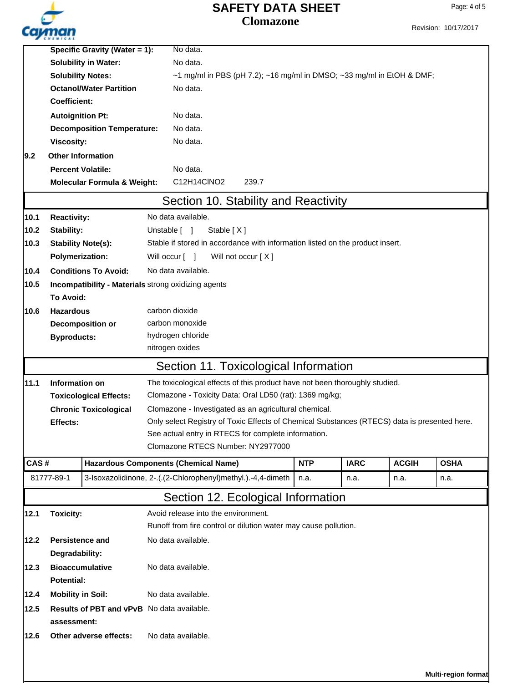### **Clomazone SAFETY DATA SHEET**



Revision: 10/17/2017

|                              |                           | Specific Gravity (Water = 1):          | No data.                                                                                     |                                                                                         |             |              |                     |  |  |
|------------------------------|---------------------------|----------------------------------------|----------------------------------------------------------------------------------------------|-----------------------------------------------------------------------------------------|-------------|--------------|---------------------|--|--|
|                              |                           | <b>Solubility in Water:</b>            | No data.                                                                                     |                                                                                         |             |              |                     |  |  |
|                              | <b>Solubility Notes:</b>  |                                        |                                                                                              | $\sim$ 1 mg/ml in PBS (pH 7.2); $\sim$ 16 mg/ml in DMSO; $\sim$ 33 mg/ml in EtOH & DMF; |             |              |                     |  |  |
|                              |                           | <b>Octanol/Water Partition</b>         | No data.                                                                                     |                                                                                         |             |              |                     |  |  |
|                              | Coefficient:              |                                        |                                                                                              |                                                                                         |             |              |                     |  |  |
|                              | <b>Autoignition Pt:</b>   |                                        | No data.                                                                                     |                                                                                         |             |              |                     |  |  |
|                              |                           | <b>Decomposition Temperature:</b>      | No data.                                                                                     |                                                                                         |             |              |                     |  |  |
|                              | <b>Viscosity:</b>         |                                        | No data.                                                                                     |                                                                                         |             |              |                     |  |  |
| 9.2                          | <b>Other Information</b>  |                                        |                                                                                              |                                                                                         |             |              |                     |  |  |
|                              | <b>Percent Volatile:</b>  |                                        | No data.                                                                                     |                                                                                         |             |              |                     |  |  |
|                              |                           | <b>Molecular Formula &amp; Weight:</b> | C12H14CINO2<br>239.7                                                                         |                                                                                         |             |              |                     |  |  |
|                              |                           |                                        | Section 10. Stability and Reactivity                                                         |                                                                                         |             |              |                     |  |  |
| 10.1                         | <b>Reactivity:</b>        |                                        | No data available.                                                                           |                                                                                         |             |              |                     |  |  |
| 10.2                         | Stability:                |                                        | Unstable [ ]<br>Stable [X]                                                                   |                                                                                         |             |              |                     |  |  |
| 10.3                         | <b>Stability Note(s):</b> |                                        | Stable if stored in accordance with information listed on the product insert.                |                                                                                         |             |              |                     |  |  |
|                              | <b>Polymerization:</b>    |                                        | Will occur [ ]<br>Will not occur [X]                                                         |                                                                                         |             |              |                     |  |  |
| 10.4                         |                           | <b>Conditions To Avoid:</b>            | No data available.                                                                           |                                                                                         |             |              |                     |  |  |
| 10.5                         |                           |                                        |                                                                                              |                                                                                         |             |              |                     |  |  |
|                              | <b>To Avoid:</b>          |                                        | Incompatibility - Materials strong oxidizing agents                                          |                                                                                         |             |              |                     |  |  |
|                              | <b>Hazardous</b>          |                                        |                                                                                              |                                                                                         |             |              |                     |  |  |
| 10.6                         |                           |                                        | carbon dioxide<br>carbon monoxide                                                            |                                                                                         |             |              |                     |  |  |
|                              |                           | <b>Decomposition or</b>                | hydrogen chloride                                                                            |                                                                                         |             |              |                     |  |  |
|                              | <b>Byproducts:</b>        |                                        | nitrogen oxides                                                                              |                                                                                         |             |              |                     |  |  |
|                              |                           |                                        |                                                                                              |                                                                                         |             |              |                     |  |  |
|                              |                           |                                        | Section 11. Toxicological Information                                                        |                                                                                         |             |              |                     |  |  |
| 11.1                         | Information on            |                                        | The toxicological effects of this product have not been thoroughly studied.                  |                                                                                         |             |              |                     |  |  |
|                              |                           | <b>Toxicological Effects:</b>          | Clomazone - Toxicity Data: Oral LD50 (rat): 1369 mg/kg;                                      |                                                                                         |             |              |                     |  |  |
| <b>Chronic Toxicological</b> |                           |                                        | Clomazone - Investigated as an agricultural chemical.                                        |                                                                                         |             |              |                     |  |  |
|                              | Effects:                  |                                        | Only select Registry of Toxic Effects of Chemical Substances (RTECS) data is presented here. |                                                                                         |             |              |                     |  |  |
|                              |                           |                                        | See actual entry in RTECS for complete information.                                          |                                                                                         |             |              |                     |  |  |
|                              |                           |                                        | Clomazone RTECS Number: NY2977000                                                            |                                                                                         |             |              |                     |  |  |
| CAS#                         |                           |                                        | <b>Hazardous Components (Chemical Name)</b>                                                  | <b>NTP</b>                                                                              | <b>IARC</b> | <b>ACGIH</b> | <b>OSHA</b>         |  |  |
|                              | 81777-89-1                |                                        | 3-Isoxazolidinone, 2-.(.(2-Chlorophenyl)methyl.).-4,4-dimeth                                 | n.a.                                                                                    | n.a.        | n.a.         | n.a.                |  |  |
|                              |                           |                                        | Section 12. Ecological Information                                                           |                                                                                         |             |              |                     |  |  |
| 12.1                         | <b>Toxicity:</b>          |                                        | Avoid release into the environment.                                                          |                                                                                         |             |              |                     |  |  |
|                              |                           |                                        | Runoff from fire control or dilution water may cause pollution.                              |                                                                                         |             |              |                     |  |  |
| 12.2                         | <b>Persistence and</b>    |                                        | No data available.                                                                           |                                                                                         |             |              |                     |  |  |
|                              | Degradability:            |                                        |                                                                                              |                                                                                         |             |              |                     |  |  |
| 12.3                         | <b>Bioaccumulative</b>    |                                        | No data available.                                                                           |                                                                                         |             |              |                     |  |  |
|                              | <b>Potential:</b>         |                                        |                                                                                              |                                                                                         |             |              |                     |  |  |
| 12.4                         | <b>Mobility in Soil:</b>  |                                        | No data available.                                                                           |                                                                                         |             |              |                     |  |  |
| 12.5                         |                           |                                        | Results of PBT and vPvB No data available.                                                   |                                                                                         |             |              |                     |  |  |
|                              | assessment:               |                                        |                                                                                              |                                                                                         |             |              |                     |  |  |
| 12.6                         |                           | Other adverse effects:                 | No data available.                                                                           |                                                                                         |             |              |                     |  |  |
|                              |                           |                                        |                                                                                              |                                                                                         |             |              |                     |  |  |
|                              |                           |                                        |                                                                                              |                                                                                         |             |              |                     |  |  |
|                              |                           |                                        |                                                                                              |                                                                                         |             |              | Multi-region format |  |  |
|                              |                           |                                        |                                                                                              |                                                                                         |             |              |                     |  |  |